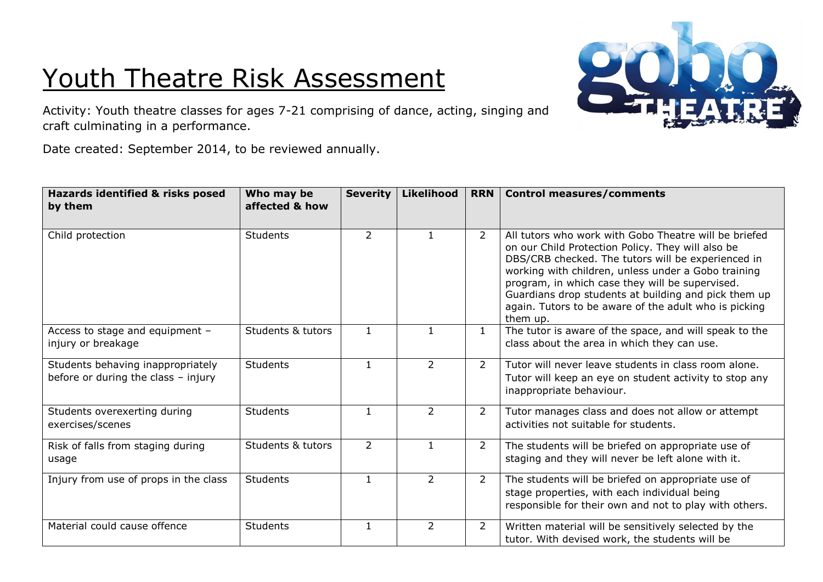## Youth Theatre Risk Assessment



Activity: Youth theatre classes for ages 7-21 comprising of dance, acting, singing and craft culminating in a performance.

Date created: September 2014, to be reviewed annually.

| Hazards identified & risks posed<br>by them                              | Who may be<br>affected & how | <b>Severity</b> | <b>Likelihood</b> | <b>RRN</b>     | <b>Control measures/comments</b>                                                                                                                                                                                                                                                                                                                                                                        |
|--------------------------------------------------------------------------|------------------------------|-----------------|-------------------|----------------|---------------------------------------------------------------------------------------------------------------------------------------------------------------------------------------------------------------------------------------------------------------------------------------------------------------------------------------------------------------------------------------------------------|
| Child protection                                                         | Students                     | $\overline{2}$  |                   | $\overline{2}$ | All tutors who work with Gobo Theatre will be briefed<br>on our Child Protection Policy. They will also be<br>DBS/CRB checked. The tutors will be experienced in<br>working with children, unless under a Gobo training<br>program, in which case they will be supervised.<br>Guardians drop students at building and pick them up<br>again. Tutors to be aware of the adult who is picking<br>them up. |
| Access to stage and equipment -<br>injury or breakage                    | Students & tutors            | $\mathbf{1}$    |                   | $\mathbf{1}$   | The tutor is aware of the space, and will speak to the<br>class about the area in which they can use.                                                                                                                                                                                                                                                                                                   |
| Students behaving inappropriately<br>before or during the class - injury | Students                     | $\overline{1}$  | $\overline{2}$    | $\overline{2}$ | Tutor will never leave students in class room alone.<br>Tutor will keep an eye on student activity to stop any<br>inappropriate behaviour.                                                                                                                                                                                                                                                              |
| Students overexerting during<br>exercises/scenes                         | <b>Students</b>              | $\mathbf{1}$    | $\overline{2}$    | $\overline{2}$ | Tutor manages class and does not allow or attempt<br>activities not suitable for students.                                                                                                                                                                                                                                                                                                              |
| Risk of falls from staging during<br>usage                               | Students & tutors            | $\overline{2}$  | $\mathbf{1}$      | $\overline{2}$ | The students will be briefed on appropriate use of<br>staging and they will never be left alone with it.                                                                                                                                                                                                                                                                                                |
| Injury from use of props in the class                                    | <b>Students</b>              | $\mathbf{1}$    | $\overline{2}$    | 2              | The students will be briefed on appropriate use of<br>stage properties, with each individual being<br>responsible for their own and not to play with others.                                                                                                                                                                                                                                            |
| Material could cause offence                                             | <b>Students</b>              | $\mathbf{1}$    | $\overline{2}$    | $\overline{2}$ | Written material will be sensitively selected by the<br>tutor. With devised work, the students will be                                                                                                                                                                                                                                                                                                  |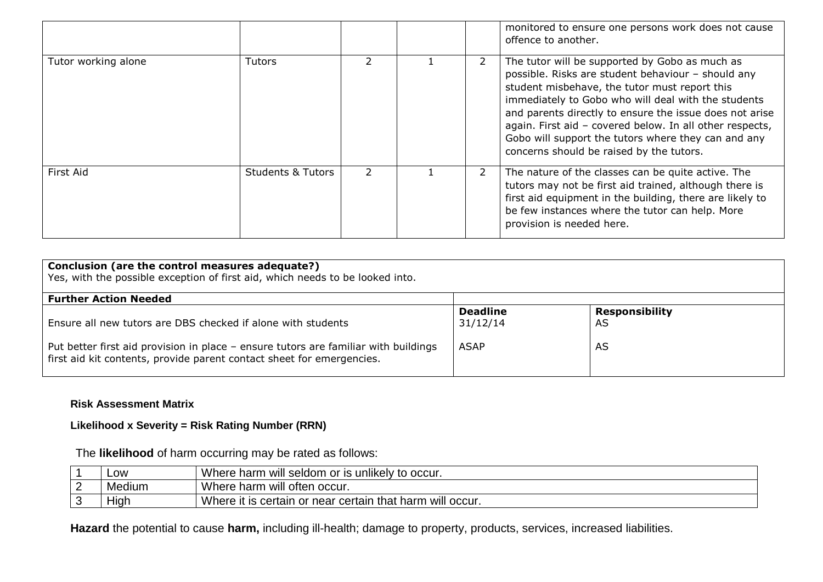|                     |                              |               |   | monitored to ensure one persons work does not cause<br>offence to another.                                                                                                                                                                                                                                                                                                                                                             |
|---------------------|------------------------------|---------------|---|----------------------------------------------------------------------------------------------------------------------------------------------------------------------------------------------------------------------------------------------------------------------------------------------------------------------------------------------------------------------------------------------------------------------------------------|
| Tutor working alone | <b>Tutors</b>                |               | 2 | The tutor will be supported by Gobo as much as<br>possible. Risks are student behaviour - should any<br>student misbehave, the tutor must report this<br>immediately to Gobo who will deal with the students<br>and parents directly to ensure the issue does not arise<br>again. First aid - covered below. In all other respects,<br>Gobo will support the tutors where they can and any<br>concerns should be raised by the tutors. |
| First Aid           | <b>Students &amp; Tutors</b> | $\mathcal{L}$ | 2 | The nature of the classes can be quite active. The<br>tutors may not be first aid trained, although there is<br>first aid equipment in the building, there are likely to<br>be few instances where the tutor can help. More<br>provision is needed here.                                                                                                                                                                               |

| Conclusion (are the control measures adequate?)<br>Yes, with the possible exception of first aid, which needs to be looked into.                             |                             |                             |  |  |
|--------------------------------------------------------------------------------------------------------------------------------------------------------------|-----------------------------|-----------------------------|--|--|
| <b>Further Action Needed</b>                                                                                                                                 |                             |                             |  |  |
| Ensure all new tutors are DBS checked if alone with students                                                                                                 | <b>Deadline</b><br>31/12/14 | <b>Responsibility</b><br>AS |  |  |
| Put better first aid provision in place - ensure tutors are familiar with buildings<br>first aid kit contents, provide parent contact sheet for emergencies. | <b>ASAP</b>                 | AS                          |  |  |

## **Risk Assessment Matrix**

## **Likelihood x Severity = Risk Rating Number (RRN)**

The **likelihood** of harm occurring may be rated as follows:

|   | LOW       | I Where harm will seldom or is unlikely to occur.                 |
|---|-----------|-------------------------------------------------------------------|
| ⌒ | Medium    | Where harm will often occur.                                      |
|   | .<br>Hıqh | Where it is<br>າ that harm will occur.<br>certain or near certain |

**Hazard** the potential to cause **harm,** including ill-health; damage to property, products, services, increased liabilities.